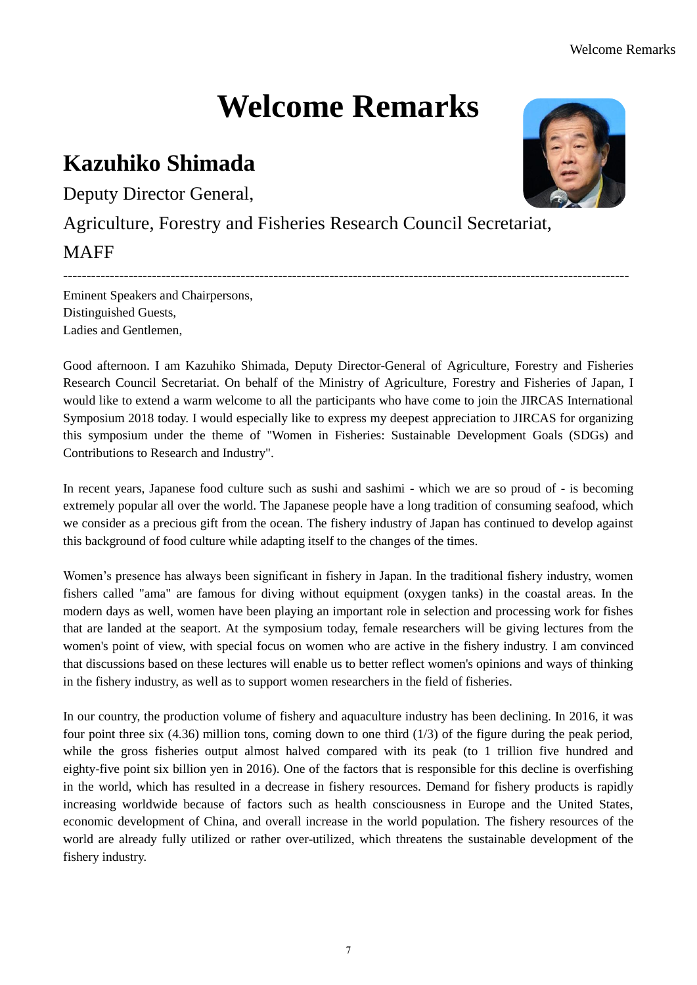## **Welcome Remarks**

## **Kazuhiko Shimada**

Deputy Director General,

Agriculture, Forestry and Fisheries Research Council Secretariat,

## **MAFF**

Eminent Speakers and Chairpersons, Distinguished Guests, Ladies and Gentlemen,

Good afternoon. I am Kazuhiko Shimada, Deputy Director-General of Agriculture, Forestry and Fisheries Research Council Secretariat. On behalf of the Ministry of Agriculture, Forestry and Fisheries of Japan, I would like to extend a warm welcome to all the participants who have come to join the JIRCAS International Symposium 2018 today. I would especially like to express my deepest appreciation to JIRCAS for organizing this symposium under the theme of "Women in Fisheries: Sustainable Development Goals (SDGs) and Contributions to Research and Industry".

-------------------------------------------------------------------------------------------------------------------------

In recent years, Japanese food culture such as sushi and sashimi - which we are so proud of - is becoming extremely popular all over the world. The Japanese people have a long tradition of consuming seafood, which we consider as a precious gift from the ocean. The fishery industry of Japan has continued to develop against this background of food culture while adapting itself to the changes of the times.

Women's presence has always been significant in fishery in Japan. In the traditional fishery industry, women fishers called "ama" are famous for diving without equipment (oxygen tanks) in the coastal areas. In the modern days as well, women have been playing an important role in selection and processing work for fishes that are landed at the seaport. At the symposium today, female researchers will be giving lectures from the women's point of view, with special focus on women who are active in the fishery industry. I am convinced that discussions based on these lectures will enable us to better reflect women's opinions and ways of thinking in the fishery industry, as well as to support women researchers in the field of fisheries.

In our country, the production volume of fishery and aquaculture industry has been declining. In 2016, it was four point three six (4.36) million tons, coming down to one third (1/3) of the figure during the peak period, while the gross fisheries output almost halved compared with its peak (to 1 trillion five hundred and eighty-five point six billion yen in 2016). One of the factors that is responsible for this decline is overfishing in the world, which has resulted in a decrease in fishery resources. Demand for fishery products is rapidly increasing worldwide because of factors such as health consciousness in Europe and the United States, economic development of China, and overall increase in the world population. The fishery resources of the world are already fully utilized or rather over-utilized, which threatens the sustainable development of the fishery industry.